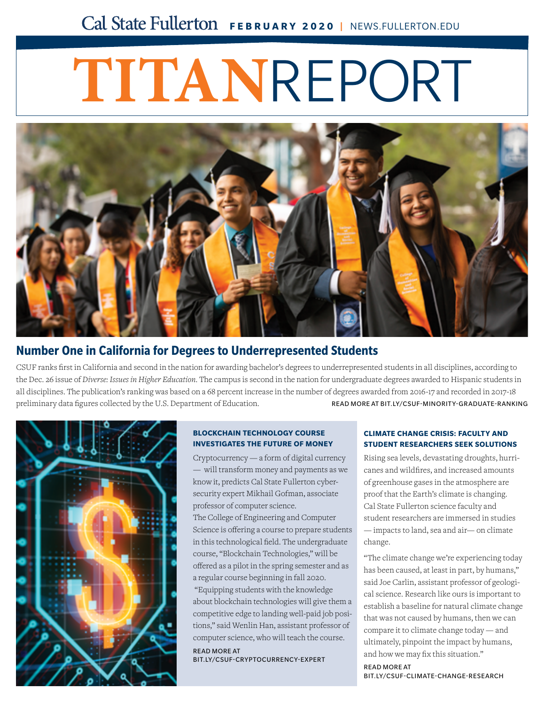# **FEBRUARY 2020 |** NEWS.FULLERTON.EDU

# **TITAN**REPORT



## **[Number One in California for Degrees to Underrepresented Students](http://news.fullerton.edu/2019fa/Minority-Graduate-Ranking-Diverse.aspx)**

CSUF ranks first in California and second in the nation for awarding bachelor's degrees to underrepresented students in all disciplines, according to the Dec. 26 issue of *Diverse: Issues in Higher Education*. The campus is second in the nation for undergraduate degrees awarded to Hispanic students in all disciplines. The publication's ranking was based on a 68 percent increase in the number of degrees awarded from 2016-17 and recorded in 2017-18 preliminary data figures collected by the U.S. Department of Education. READ MORE AT BIT.LY/CSUF-MINORITY-GRADUATE-RANKING



#### **BLOCKCHAIN TECHNOLOGY COURSE INVESTIGATES THE FUTURE OF MONEY**

Cryptocurrency — a form of digital currency — will transform money and payments as we know it, predicts Cal State Fullerton cybersecurity expert Mikhail Gofman, associate professor of computer science. The College of Engineering and Computer [Science is offering a course to prepare students](http://news.fullerton.edu/2019fa/cryptocurrency-mikhail-gofman.aspx)  in this technological field. The undergraduate

course, "Blockchain Technologies," will be offered as a pilot in the spring semester and as a regular course beginning in fall 2020. "Equipping students with the knowledge about blockchain technologies will give them a competitive edge to landing well-paid job positions," said Wenlin Han, assistant professor of

computer science, who will teach the course.

READ MORE AT BIT.LY/CSUF-CRYPTOCURRENCY-EXPERT

#### **CLIMATE CHANGE CRISIS: FACULTY AND STUDENT RESEARCHERS SEEK SOLUTIONS**

Rising sea levels, devastating droughts, hurricanes and wildfires, and increased amounts of greenhouse gases in the atmosphere are proof that the Earth's climate is changing. Cal State Fullerton science faculty and student researchers are immersed in studies — impacts to land, sea and air— on climate change.

"The climate change we're experiencing today has been caused, at least in part, by humans," said Joe Carlin, assistant professor of geological science. Research like ours is important to [establish a baseline for natural climate change](http://news.fullerton.edu/feature/climate-change/)  that was not caused by humans, then we can compare it to climate change today — and ultimately, pinpoint the impact by humans, and how we may fix this situation."

READ MORE AT BIT.LY/CSUF-CLIMATE-CHANGE-RESEARCH